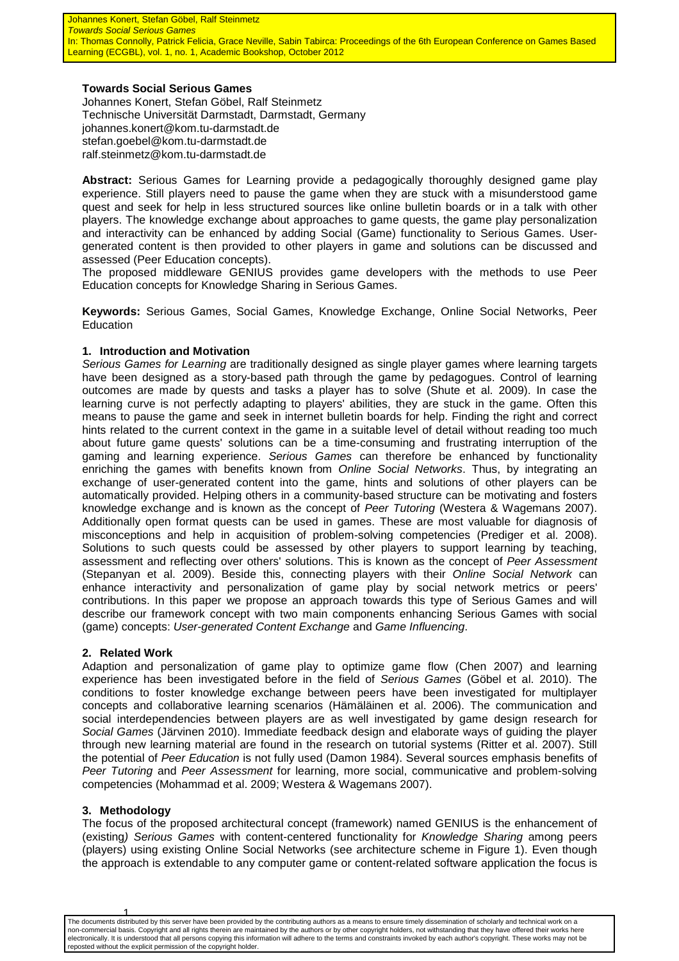#### **Towards Social Serious Games**

Johannes Konert, Stefan Göbel, Ralf Steinmetz Technische Universität Darmstadt, Darmstadt, Germany johannes.konert@kom.tu-darmstadt.de stefan.goebel@kom.tu-darmstadt.de ralf.steinmetz@kom.tu-darmstadt.de

**Abstract:** Serious Games for Learning provide a pedagogically thoroughly designed game play experience. Still players need to pause the game when they are stuck with a misunderstood game quest and seek for help in less structured sources like online bulletin boards or in a talk with other players. The knowledge exchange about approaches to game quests, the game play personalization and interactivity can be enhanced by adding Social (Game) functionality to Serious Games. Usergenerated content is then provided to other players in game and solutions can be discussed and assessed (Peer Education concepts).

The proposed middleware GENIUS provides game developers with the methods to use Peer Education concepts for Knowledge Sharing in Serious Games.

**Keywords:** Serious Games, Social Games, Knowledge Exchange, Online Social Networks, Peer Education

#### **1. Introduction and Motivation**

Serious Games for Learning are traditionally designed as single player games where learning targets have been designed as a story-based path through the game by pedagogues. Control of learning outcomes are made by quests and tasks a player has to solve (Shute et al. 2009). In case the learning curve is not perfectly adapting to players' abilities, they are stuck in the game. Often this means to pause the game and seek in internet bulletin boards for help. Finding the right and correct hints related to the current context in the game in a suitable level of detail without reading too much about future game quests' solutions can be a time-consuming and frustrating interruption of the gaming and learning experience. Serious Games can therefore be enhanced by functionality enriching the games with benefits known from Online Social Networks. Thus, by integrating an exchange of user-generated content into the game, hints and solutions of other players can be automatically provided. Helping others in a community-based structure can be motivating and fosters knowledge exchange and is known as the concept of Peer Tutoring (Westera & Wagemans 2007). Additionally open format quests can be used in games. These are most valuable for diagnosis of misconceptions and help in acquisition of problem-solving competencies (Prediger et al. 2008). Solutions to such quests could be assessed by other players to support learning by teaching, assessment and reflecting over others' solutions. This is known as the concept of Peer Assessment (Stepanyan et al. 2009). Beside this, connecting players with their Online Social Network can enhance interactivity and personalization of game play by social network metrics or peers' contributions. In this paper we propose an approach towards this type of Serious Games and will describe our framework concept with two main components enhancing Serious Games with social (game) concepts: User-generated Content Exchange and Game Influencing.

#### **2. Related Work**

Adaption and personalization of game play to optimize game flow (Chen 2007) and learning experience has been investigated before in the field of Serious Games (Göbel et al. 2010). The conditions to foster knowledge exchange between peers have been investigated for multiplayer concepts and collaborative learning scenarios (Hämäläinen et al. 2006). The communication and social interdependencies between players are as well investigated by game design research for Social Games (Järvinen 2010). Immediate feedback design and elaborate ways of guiding the player through new learning material are found in the research on tutorial systems (Ritter et al. 2007). Still the potential of Peer Education is not fully used (Damon 1984). Several sources emphasis benefits of Peer Tutoring and Peer Assessment for learning, more social, communicative and problem-solving competencies (Mohammad et al. 2009; Westera & Wagemans 2007).

## **3. Methodology**

The focus of the proposed architectural concept (framework) named GENIUS is the enhancement of (existing) Serious Games with content-centered functionality for Knowledge Sharing among peers (players) using existing Online Social Networks (see architecture scheme in Figure 1). Even though the approach is extendable to any computer game or content-related software application the focus is

1<br>The documents distributed by this server have been provided by the contributing authors as a means to ensure timely dissemination of scholarly and technical work on a non-commercial basis. Copyright and all rights therein are maintained by the authors or by other copyright holders, not withstanding that they have offered their works here electronically. It is understood that all persons copying this information will adhere to the terms and constraints invoked by each author's copyright. These works may not be reposted without the explicit permission of the copyright holder.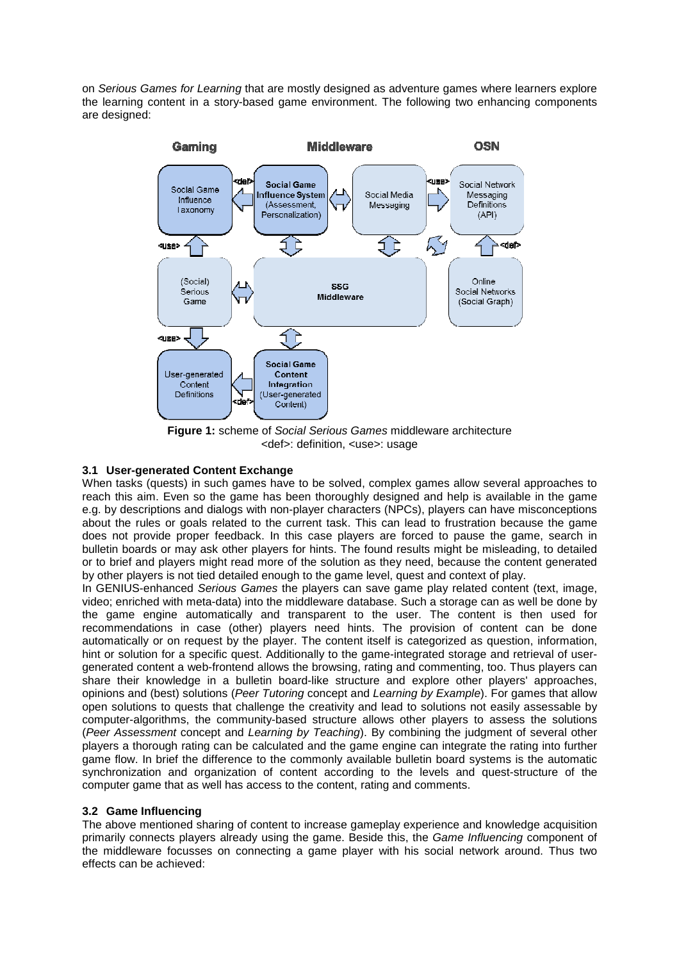on Serious Games for Learning that are mostly designed as adventure games where learners explore the learning content in a story-based game environment. The following two enhancing components are designed:



**Figure 1:** scheme of Social Serious Games middleware architecture <def>: definition, <use>: usage

# **3.1 User-generated Content Exchange**

When tasks (quests) in such games have to be solved, complex games allow several approaches to reach this aim. Even so the game has been thoroughly designed and help is available in the game e.g. by descriptions and dialogs with non-player characters (NPCs), players can have misconceptions about the rules or goals related to the current task. This can lead to frustration because the game does not provide proper feedback. In this case players are forced to pause the game, search in bulletin boards or may ask other players for hints. The found results might be misleading, to detailed or to brief and players might read more of the solution as they need, because the content generated by other players is not tied detailed enough to the game level, quest and context of play.

In GENIUS-enhanced Serious Games the players can save game play related content (text, image, video; enriched with meta-data) into the middleware database. Such a storage can as well be done by the game engine automatically and transparent to the user. The content is then used for recommendations in case (other) players need hints. The provision of content can be done automatically or on request by the player. The content itself is categorized as question, information, hint or solution for a specific quest. Additionally to the game-integrated storage and retrieval of usergenerated content a web-frontend allows the browsing, rating and commenting, too. Thus players can share their knowledge in a bulletin board-like structure and explore other players' approaches, opinions and (best) solutions (Peer Tutoring concept and Learning by Example). For games that allow open solutions to quests that challenge the creativity and lead to solutions not easily assessable by computer-algorithms, the community-based structure allows other players to assess the solutions (Peer Assessment concept and Learning by Teaching). By combining the judgment of several other players a thorough rating can be calculated and the game engine can integrate the rating into further game flow. In brief the difference to the commonly available bulletin board systems is the automatic synchronization and organization of content according to the levels and quest-structure of the computer game that as well has access to the content, rating and comments.

## **3.2 Game Influencing**

The above mentioned sharing of content to increase gameplay experience and knowledge acquisition primarily connects players already using the game. Beside this, the Game Influencing component of the middleware focusses on connecting a game player with his social network around. Thus two effects can be achieved: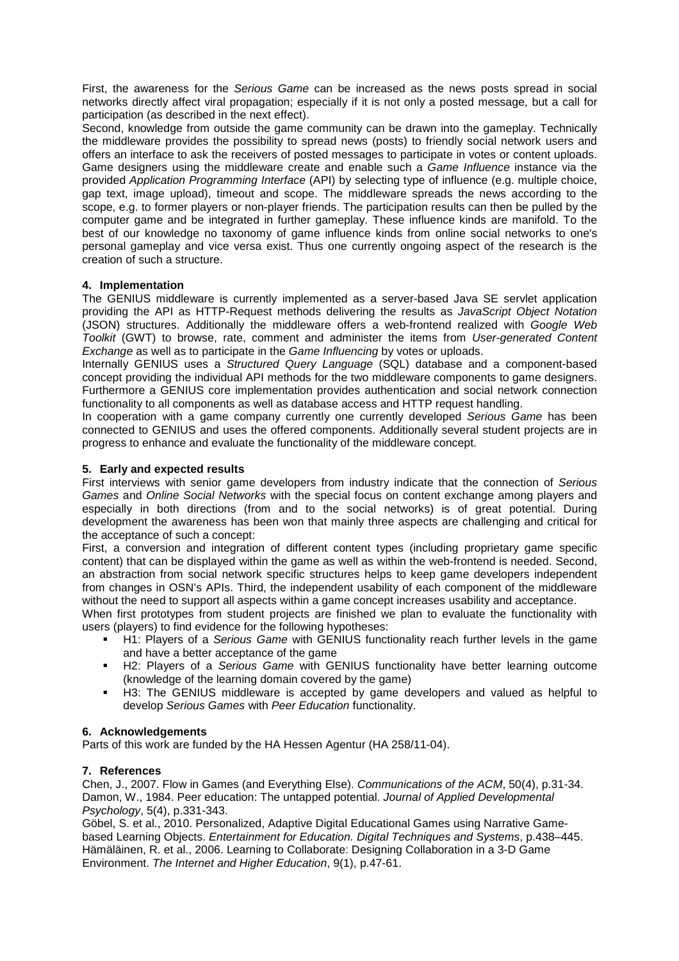First, the awareness for the Serious Game can be increased as the news posts spread in social networks directly affect viral propagation; especially if it is not only a posted message, but a call for participation (as described in the next effect).

Second, knowledge from outside the game community can be drawn into the gameplay. Technically the middleware provides the possibility to spread news (posts) to friendly social network users and offers an interface to ask the receivers of posted messages to participate in votes or content uploads. Game designers using the middleware create and enable such a Game Influence instance via the provided Application Programming Interface (API) by selecting type of influence (e.g. multiple choice, gap text, image upload), timeout and scope. The middleware spreads the news according to the scope, e.g. to former players or non-player friends. The participation results can then be pulled by the computer game and be integrated in further gameplay. These influence kinds are manifold. To the best of our knowledge no taxonomy of game influence kinds from online social networks to one's personal gameplay and vice versa exist. Thus one currently ongoing aspect of the research is the creation of such a structure.

## **4. Implementation**

The GENIUS middleware is currently implemented as a server-based Java SE servlet application providing the API as HTTP-Request methods delivering the results as JavaScript Object Notation (JSON) structures. Additionally the middleware offers a web-frontend realized with Google Web Toolkit (GWT) to browse, rate, comment and administer the items from User-generated Content Exchange as well as to participate in the Game Influencing by votes or uploads.

Internally GENIUS uses a Structured Query Language (SQL) database and a component-based concept providing the individual API methods for the two middleware components to game designers. Furthermore a GENIUS core implementation provides authentication and social network connection functionality to all components as well as database access and HTTP request handling.

In cooperation with a game company currently one currently developed Serious Game has been connected to GENIUS and uses the offered components. Additionally several student projects are in progress to enhance and evaluate the functionality of the middleware concept.

# **5. Early and expected results**

First interviews with senior game developers from industry indicate that the connection of Serious Games and Online Social Networks with the special focus on content exchange among players and especially in both directions (from and to the social networks) is of great potential. During development the awareness has been won that mainly three aspects are challenging and critical for the acceptance of such a concept:

First, a conversion and integration of different content types (including proprietary game specific content) that can be displayed within the game as well as within the web-frontend is needed. Second, an abstraction from social network specific structures helps to keep game developers independent from changes in OSN's APIs. Third, the independent usability of each component of the middleware without the need to support all aspects within a game concept increases usability and acceptance.

When first prototypes from student projects are finished we plan to evaluate the functionality with users (players) to find evidence for the following hypotheses:

- H1: Players of a Serious Game with GENIUS functionality reach further levels in the game and have a better acceptance of the game
- **H2: Players of a Serious Game with GENIUS functionality have better learning outcome** (knowledge of the learning domain covered by the game)
- H3: The GENIUS middleware is accepted by game developers and valued as helpful to develop Serious Games with Peer Education functionality.

## **6. Acknowledgements**

Parts of this work are funded by the HA Hessen Agentur (HA 258/11-04).

## **7. References**

Chen, J., 2007. Flow in Games (and Everything Else). Communications of the ACM, 50(4), p.31-34. Damon, W., 1984. Peer education: The untapped potential. Journal of Applied Developmental Psychology, 5(4), p.331-343.

Göbel, S. et al., 2010. Personalized, Adaptive Digital Educational Games using Narrative Gamebased Learning Objects. Entertainment for Education. Digital Techniques and Systems, p.438–445. Hämäläinen, R. et al., 2006. Learning to Collaborate: Designing Collaboration in a 3-D Game Environment. The Internet and Higher Education, 9(1), p.47-61.